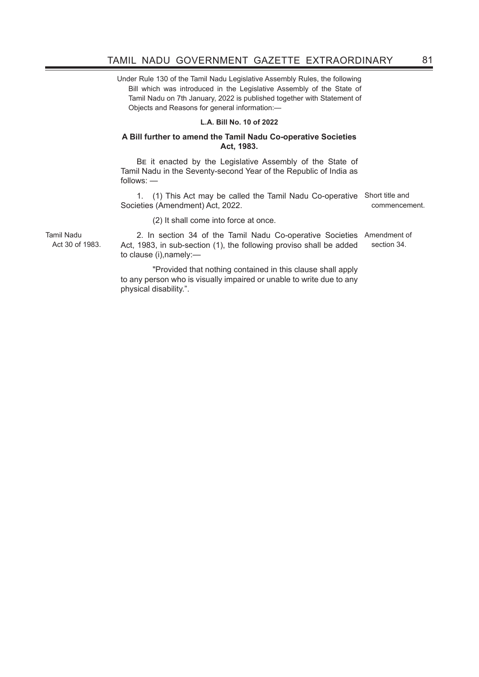Under Rule 130 of the Tamil Nadu Legislative Assembly Rules, the following Bill which was introduced in the Legislative Assembly of the State of Tamil Nadu on 7th January, 2022 is published together with Statement of Objects and Reasons for general information:—

## **L.A. Bill No. 10 of 2022**

## **A Bill further to amend the Tamil Nadu Co-operative Societies Act, 1983.**

BE it enacted by the Legislative Assembly of the State of Tamil Nadu in the Seventy-second Year of the Republic of India as follows: —

1. (1) This Act may be called the Tamil Nadu Co-operative Short title and Societies (Amendment) Act, 2022. commencement.

(2) It shall come into force at once.

Tamil Nadu Act 30 of 1983.

2. In section 34 of the Tamil Nadu Co-operative Societies Amendment of Act, 1983, in sub-section (1), the following proviso shall be added to clause (i),namely: section 34.

 "Provided that nothing contained in this clause shall apply to any person who is visually impaired or unable to write due to any physical disability.".